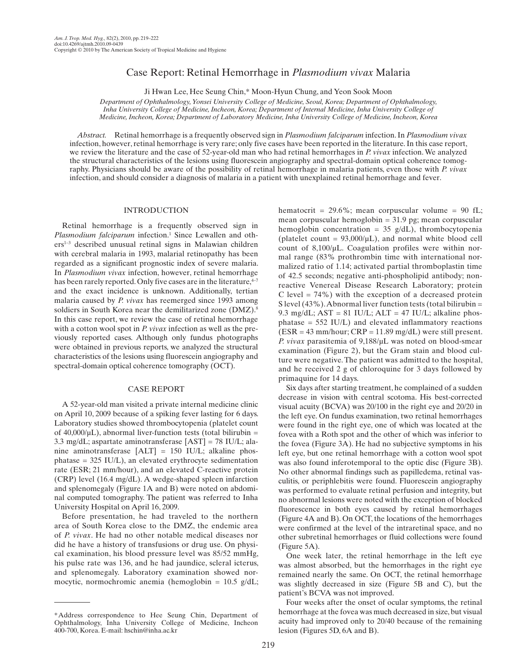# Case Report: Retinal Hemorrhage in *Plasmodium vivax* Malaria

Ji Hwan Lee, Hee Seung Chin,\* Moon-Hyun Chung, and Yeon Sook Moon

 *Department of Ophthalmology, Yonsei University College of Medicine, Seoul, Korea; Department of Ophthalmology, Inha University College of Medicine, Incheon, Korea; Department of Internal Medicine, Inha University College of Medicine, Incheon, Korea; Department of Laboratory Medicine, Inha University College of Medicine, Incheon, Korea* 

*Abstract.* Retinal hemorrhage is a frequently observed sign in *Plasmodium falciparum* infection. In *Plasmodium vivax* infection, however, retinal hemorrhage is very rare; only five cases have been reported in the literature. In this case report, we review the literature and the case of 52-year-old man who had retinal hemorrhages in *P. vivax* infection. We analyzed the structural characteristics of the lesions using fluorescein angiography and spectral-domain optical coherence tomography. Physicians should be aware of the possibility of retinal hemorrhage in malaria patients, even those with *P. vivax* infection, and should consider a diagnosis of malaria in a patient with unexplained retinal hemorrhage and fever.

### INTRODUCTION

 Retinal hemorrhage is a frequently observed sign in Plasmodium falciparum infection.<sup>1</sup> Since Lewallen and others 1–3 described unusual retinal signs in Malawian children with cerebral malaria in 1993, malarial retinopathy has been regarded as a significant prognostic index of severe malaria. In *Plasmodium vivax* infection, however, retinal hemorrhage has been rarely reported. Only five cases are in the literature,  $4-7$ and the exact incidence is unknown. Additionally, tertian malaria caused by *P. vivax* has reemerged since 1993 among soldiers in South Korea near the demilitarized zone (DMZ).<sup>8</sup> In this case report, we review the case of retinal hemorrhage with a cotton wool spot in *P. vivax* infection as well as the previously reported cases. Although only fundus photographs were obtained in previous reports, we analyzed the structural characteristics of the lesions using fluorescein angiography and spectral-domain optical coherence tomography (OCT).

#### CASE REPORT

 A 52-year-old man visited a private internal medicine clinic on April 10, 2009 because of a spiking fever lasting for 6 days. Laboratory studies showed thrombocytopenia (platelet count of  $40,000/\mu L$ ), abnormal liver-function tests (total bilirubin = 3.3 mg/dL; aspartate aminotransferase [AST] = 78 IU/L; alanine aminotransferase [ALT] = 150 IU/L; alkaline phosphatase = 325 IU/L), an elevated erythrocyte sedimentation rate (ESR; 21 mm/hour), and an elevated C-reactive protein (CRP) level (16.4 mg/dL). A wedge-shaped spleen infarction and splenomegaly (Figure 1A and B) were noted on abdominal computed tomography. The patient was referred to Inha University Hospital on April 16, 2009.

 Before presentation, he had traveled to the northern area of South Korea close to the DMZ, the endemic area of *P. vivax* . He had no other notable medical diseases nor did he have a history of transfusions or drug use. On physical examination, his blood pressure level was 85/52 mmHg, his pulse rate was 136, and he had jaundice, scleral icterus, and splenomegaly. Laboratory examination showed normocytic, normochromic anemia (hemoglobin =  $10.5$  g/dL; hematocrit = 29.6%; mean corpuscular volume = 90 fL; mean corpuscular hemoglobin = 31.9 pg; mean corpuscular hemoglobin concentration = 35 g/dL), thrombocytopenia (platelet count =  $93,000/\mu L$ ), and normal white blood cell count of 8,100/µL. Coagulation profiles were within normal range (83% prothrombin time with international normalized ratio of 1.14; activated partial thromboplastin time of 42.5 seconds; negative anti-phospholipid antibody; nonreactive Venereal Disease Research Laboratory; protein C level  $= 74\%$ ) with the exception of a decreased protein S level (43%). Abnormal liver function tests (total bilirubin = 9.3 mg/dL;  $AST = 81 IU/L$ ;  $ALT = 47 IU/L$ ; alkaline phosphatase = 552 IU/L) and elevated inflammatory reactions  $(ESR = 43$  mm/hour;  $CRP = 11.89$  mg/dL) were still present. *P. vivax* parasitemia of 9,188/µL was noted on blood-smear examination (Figure 2), but the Gram stain and blood culture were negative. The patient was admitted to the hospital, and he received 2 g of chloroquine for 3 days followed by primaquine for 14 days.

 Six days after starting treatment, he complained of a sudden decrease in vision with central scotoma. His best-corrected visual acuity (BCVA) was 20/100 in the right eye and 20/20 in the left eye. On fundus examination, two retinal hemorrhages were found in the right eye, one of which was located at the fovea with a Roth spot and the other of which was inferior to the fovea (Figure 3A). He had no subjective symptoms in his left eye, but one retinal hemorrhage with a cotton wool spot was also found inferotemporal to the optic disc (Figure 3B). No other abnormal findings such as papilledema, retinal vasculitis, or periphlebitis were found. Fluorescein angiography was performed to evaluate retinal perfusion and integrity, but no abnormal lesions were noted with the exception of blocked fluorescence in both eyes caused by retinal hemorrhages (Figure 4A and B). On OCT, the locations of the hemorrhages were confirmed at the level of the intraretinal space, and no other subretinal hemorrhages or fluid collections were found (Figure 5A).

 One week later, the retinal hemorrhage in the left eye was almost absorbed, but the hemorrhages in the right eye remained nearly the same. On OCT, the retinal hemorrhage was slightly decreased in size (Figure  $5B$  and C), but the patient's BCVA was not improved.

 Four weeks after the onset of ocular symptoms, the retinal hemorrhage at the fovea was much decreased in size, but visual acuity had improved only to 20/40 because of the remaining lesion (Figures 5D, 6A and B).

 <sup>\*</sup> Address correspondence to Hee Seung Chin, Department of Ophthalmology, Inha University College of Medicine, Incheon 400-700, Korea. E-mail: hschin@inha.ac.kr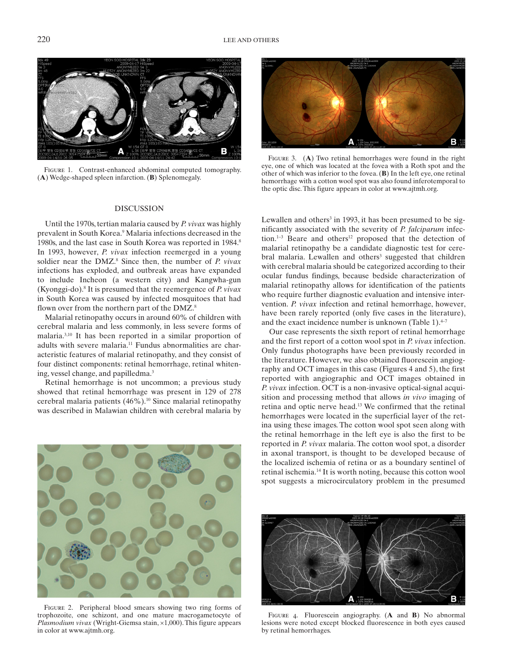

FIGURE 1. Contrast-enhanced abdominal computed tomography. ( **A** ) Wedge-shaped spleen infarction. ( **B** ) Splenomegaly.

## DISCUSSION

 Until the 1970s, tertian malaria caused by *P. vivax* was highly prevalent in South Korea.<sup>9</sup> Malaria infections decreased in the 1980s, and the last case in South Korea was reported in 1984. 8 In 1993, however, *P. vivax* infection reemerged in a young soldier near the DMZ.<sup>8</sup> Since then, the number of *P. vivax* infections has exploded, and outbreak areas have expanded to include Incheon (a western city) and Kangwha-gun (Kyonggi-do). 8 It is presumed that the reemergence of *P. vivax* in South Korea was caused by infected mosquitoes that had flown over from the northern part of the DMZ.<sup>8</sup>

 Malarial retinopathy occurs in around 60% of children with cerebral malaria and less commonly, in less severe forms of malaria. 3,10 It has been reported in a similar proportion of adults with severe malaria.<sup>11</sup> Fundus abnormalities are characteristic features of malarial retinopathy, and they consist of four distinct components: retinal hemorrhage, retinal whitening, vessel change, and papilledma.<sup>3</sup>

 Retinal hemorrhage is not uncommon; a previous study showed that retinal hemorrhage was present in 129 of 278 cerebral malaria patients (46%). 10 Since malarial retinopathy was described in Malawian children with cerebral malaria by



FIGURE 3. (A) Two retinal hemorrhages were found in the right eye, one of which was located at the fovea with a Roth spot and the other of which was inferior to the fovea.  $(B)$  In the left eye, one retinal hemorrhage with a cotton wool spot was also found inferotemporal to the optic disc. This figure appears in color at www.ajtmh.org.

Lewallen and others<sup>3</sup> in 1993, it has been presumed to be significantly associated with the severity of *P. falciparum* infection. $1-3$  Beare and others<sup>12</sup> proposed that the detection of malarial retinopathy be a candidate diagnostic test for cerebral malaria. Lewallen and others<sup>3</sup> suggested that children with cerebral malaria should be categorized according to their ocular fundus findings, because bedside characterization of malarial retinopathy allows for identification of the patients who require further diagnostic evaluation and intensive intervention. *P. vivax* infection and retinal hemorrhage, however, have been rarely reported (only five cases in the literature), and the exact incidence number is unknown (Table 1). $4-7$ 

 Our case represents the sixth report of retinal hemorrhage and the first report of a cotton wool spot in *P. vivax* infection. Only fundus photographs have been previously recorded in the literature. However, we also obtained fluorescein angiography and OCT images in this case (Figures 4 and 5), the first reported with angiographic and OCT images obtained in *P. vivax* infection. OCT is a non-invasive optical-signal acquisition and processing method that allows *in vivo* imaging of retina and optic nerve head.<sup>13</sup> We confirmed that the retinal hemorrhages were located in the superficial layer of the retina using these images. The cotton wool spot seen along with the retinal hemorrhage in the left eye is also the first to be reported in *P. vivax* malaria. The cotton wool spot, a disorder in axonal transport, is thought to be developed because of the localized ischemia of retina or as a boundary sentinel of retinal ischemia. 14 It is worth noting, because this cotton wool spot suggests a microcirculatory problem in the presumed



FIGURE 2. Peripheral blood smears showing two ring forms of trophozoite, one schizont, and one mature macrogametocyte of *Plasmodium vivax* (Wright-Giemsa stain, ×1,000). This figure appears in color at www.ajtmh.org.



FIGURE 4. Fluorescein angiography. (A and B) No abnormal lesions were noted except blocked fluorescence in both eyes caused by retinal hemorrhages.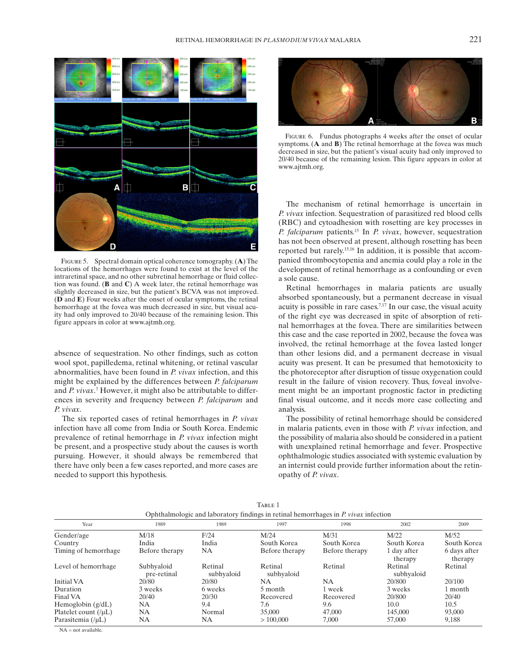

FIGURE 5. Spectral domain optical coherence tomography. (A) The locations of the hemorrhages were found to exist at the level of the intraretinal space, and no other subretinal hemorrhage or fluid collection was found. (**B** and **C**) A week later, the retinal hemorrhage was slightly decreased in size, but the patient's BCVA was not improved. ( **D** and **E** ) Four weeks after the onset of ocular symptoms, the retinal hemorrhage at the fovea was much decreased in size, but visual acuity had only improved to 20/40 because of the remaining lesion. This figure appears in color at www.ajtmh.org.

absence of sequestration. No other findings, such as cotton wool spot, papilledema, retinal whitening, or retinal vascular abnormalities, have been found in *P. vivax* infection, and this might be explained by the differences between *P. falciparum* and P. vivax.<sup>7</sup> However, it might also be attributable to differences in severity and frequency between *P. falciparum* and *P. vivax* .

 The six reported cases of retinal hemorrhages in *P. vivax* infection have all come from India or South Korea. Endemic prevalence of retinal hemorrhage in *P. vivax* infection might be present, and a prospective study about the causes is worth pursuing. However, it should always be remembered that there have only been a few cases reported, and more cases are needed to support this hypothesis.



FIGURE 6. Fundus photographs 4 weeks after the onset of ocular symptoms. (A and B) The retinal hemorrhage at the fovea was much decreased in size, but the patient's visual acuity had only improved to 20/40 because of the remaining lesion. This figure appears in color at www.ajtmh.org.

 The mechanism of retinal hemorrhage is uncertain in *P. vivax* infection. Sequestration of parasitized red blood cells (RBC) and cytoadhesion with rosetting are key processes in *P. falciparum* patients.<sup>15</sup> In *P. vivax*, however, sequestration has not been observed at present, although rosetting has been reported but rarely. 15,16 In addition, it is possible that accompanied thrombocytopenia and anemia could play a role in the development of retinal hemorrhage as a confounding or even a sole cause.

 Retinal hemorrhages in malaria patients are usually absorbed spontaneously, but a permanent decrease in visual acuity is possible in rare cases.<sup> $7,17$ </sup> In our case, the visual acuity of the right eye was decreased in spite of absorption of retinal hemorrhages at the fovea. There are similarities between this case and the case reported in 2002, because the fovea was involved, the retinal hemorrhage at the fovea lasted longer than other lesions did, and a permanent decrease in visual acuity was present. It can be presumed that hemotoxicity to the photoreceptor after disruption of tissue oxygenation could result in the failure of vision recovery. Thus, foveal involvement might be an important prognostic factor in predicting final visual outcome, and it needs more case collecting and analysis.

 The possibility of retinal hemorrhage should be considered in malaria patients, even in those with *P. vivax* infection, and the possibility of malaria also should be considered in a patient with unexplained retinal hemorrhage and fever. Prospective ophthalmologic studies associated with systemic evaluation by an internist could provide further information about the retinopathy of *P. vivax* .

| Ophthalmologic and laboratory findings in retinal hemorrhages in P. vivax infection |                           |                       |                       |                |                        |                         |
|-------------------------------------------------------------------------------------|---------------------------|-----------------------|-----------------------|----------------|------------------------|-------------------------|
| Year                                                                                | 1989                      | 1989                  | 1997                  | 1998           | 2002                   | 2009                    |
| Gender/age                                                                          | M/18                      | F/24                  | M/24                  | M/31           | M/22                   | M/52                    |
| Country                                                                             | India                     | India                 | South Korea           | South Korea    | South Korea            | South Korea             |
| Timing of hemorrhage                                                                | Before therapy            | NA.                   | Before therapy        | Before therapy | 1 day after<br>therapy | 6 days after<br>therapy |
| Level of hemorrhage                                                                 | Subhyaloid<br>pre-retinal | Retinal<br>subhyaloid | Retinal<br>subhyaloid | Retinal        | Retinal<br>subhyaloid  | Retinal                 |
| <b>Initial VA</b>                                                                   | 20/80                     | 20/80                 | NA                    | NA             | 20/800                 | 20/100                  |
| Duration                                                                            | 3 weeks                   | 6 weeks               | 5 month               | 1 week         | 3 weeks                | 1 month                 |
| Final VA                                                                            | 20/40                     | 20/30                 | Recovered             | Recovered      | 20/800                 | 20/40                   |
| Hemoglobin $(g/dL)$                                                                 | NA.                       | 9.4                   | 7.6                   | 9.6            | 10.0                   | 10.5                    |
| Platelet count $($ / $\mu$ L $)$                                                    | NA.                       | Normal                | 35,000                | 47,000         | 145,000                | 93,000                  |
| Parasitemia $($ / $\mu$ L $)$                                                       | NA.                       | NA                    | >100,000              | 7.000          | 57,000                 | 9,188                   |

| TARLE 1                                                                            |
|------------------------------------------------------------------------------------|
| Ophthalmologic and laboratory findings in retinal hemorrhages in P vivax infection |

 $NA = not available$